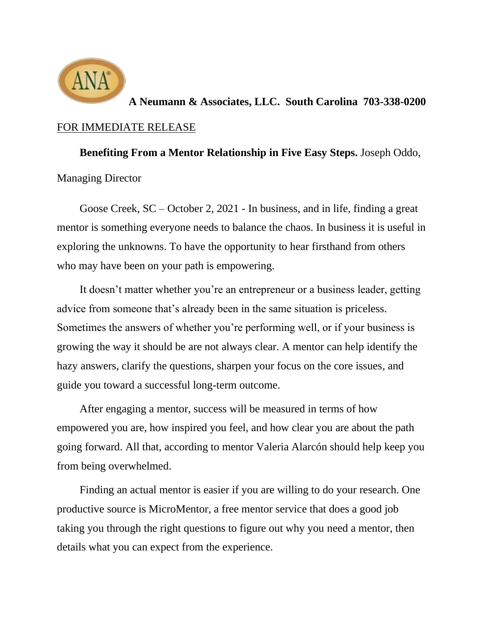

**A Neumann & Associates, LLC. South Carolina 703-338-0200** FOR IMMEDIATE RELEASE

**Benefiting From a Mentor Relationship in Five Easy Steps.** Joseph Oddo, Managing Director

Goose Creek, SC – October 2, 2021 - In business, and in life, finding a great mentor is something everyone needs to balance the chaos. In business it is useful in exploring the unknowns. To have the opportunity to hear firsthand from others who may have been on your path is empowering.

It doesn't matter whether you're an entrepreneur or a business leader, getting advice from someone that's already been in the same situation is priceless. Sometimes the answers of whether you're performing well, or if your business is growing the way it should be are not always clear. A mentor can help identify the hazy answers, clarify the questions, sharpen your focus on the core issues, and guide you toward a successful long-term outcome.

After engaging a mentor, success will be measured in terms of how empowered you are, how inspired you feel, and how clear you are about the path going forward. All that, according to mentor Valeria Alarcón should help keep you from being overwhelmed.

Finding an actual mentor is easier if you are willing to do your research. One productive source is MicroMentor, a free mentor service that does a good job taking you through the right questions to figure out why you need a mentor, then details what you can expect from the experience.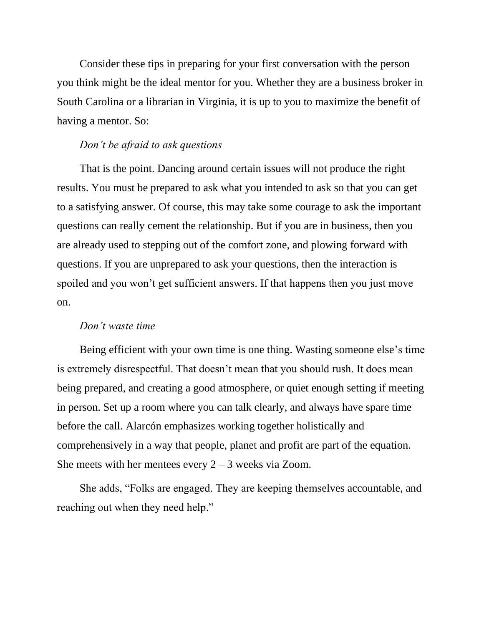Consider these tips in preparing for your first conversation with the person you think might be the ideal mentor for you. Whether they are a business broker in South Carolina or a librarian in Virginia, it is up to you to maximize the benefit of having a mentor. So:

# *Don't be afraid to ask questions*

That is the point. Dancing around certain issues will not produce the right results. You must be prepared to ask what you intended to ask so that you can get to a satisfying answer. Of course, this may take some courage to ask the important questions can really cement the relationship. But if you are in business, then you are already used to stepping out of the comfort zone, and plowing forward with questions. If you are unprepared to ask your questions, then the interaction is spoiled and you won't get sufficient answers. If that happens then you just move on.

### *Don't waste time*

Being efficient with your own time is one thing. Wasting someone else's time is extremely disrespectful. That doesn't mean that you should rush. It does mean being prepared, and creating a good atmosphere, or quiet enough setting if meeting in person. Set up a room where you can talk clearly, and always have spare time before the call. Alarcón emphasizes working together holistically and comprehensively in a way that people, planet and profit are part of the equation. She meets with her mentees every  $2 - 3$  weeks via Zoom.

She adds, "Folks are engaged. They are keeping themselves accountable, and reaching out when they need help."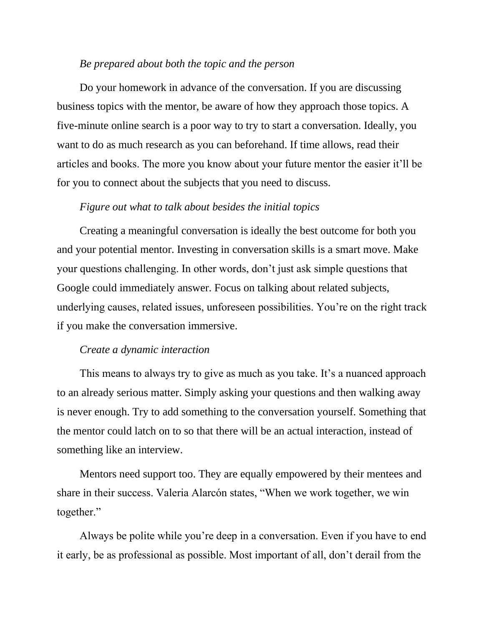### *Be prepared about both the topic and the person*

Do your homework in advance of the conversation. If you are discussing business topics with the mentor, be aware of how they approach those topics. A five-minute online search is a poor way to try to start a conversation. Ideally, you want to do as much research as you can beforehand. If time allows, read their articles and books. The more you know about your future mentor the easier it'll be for you to connect about the subjects that you need to discuss.

#### *Figure out what to talk about besides the initial topics*

Creating a meaningful conversation is ideally the best outcome for both you and your potential mentor. Investing in conversation skills is a smart move. Make your questions challenging. In other words, don't just ask simple questions that Google could immediately answer. Focus on talking about related subjects, underlying causes, related issues, unforeseen possibilities. You're on the right track if you make the conversation immersive.

#### *Create a dynamic interaction*

This means to always try to give as much as you take. It's a nuanced approach to an already serious matter. Simply asking your questions and then walking away is never enough. Try to add something to the conversation yourself. Something that the mentor could latch on to so that there will be an actual interaction, instead of something like an interview.

Mentors need support too. They are equally empowered by their mentees and share in their success. Valeria Alarcón states, "When we work together, we win together."

Always be polite while you're deep in a conversation. Even if you have to end it early, be as professional as possible. Most important of all, don't derail from the